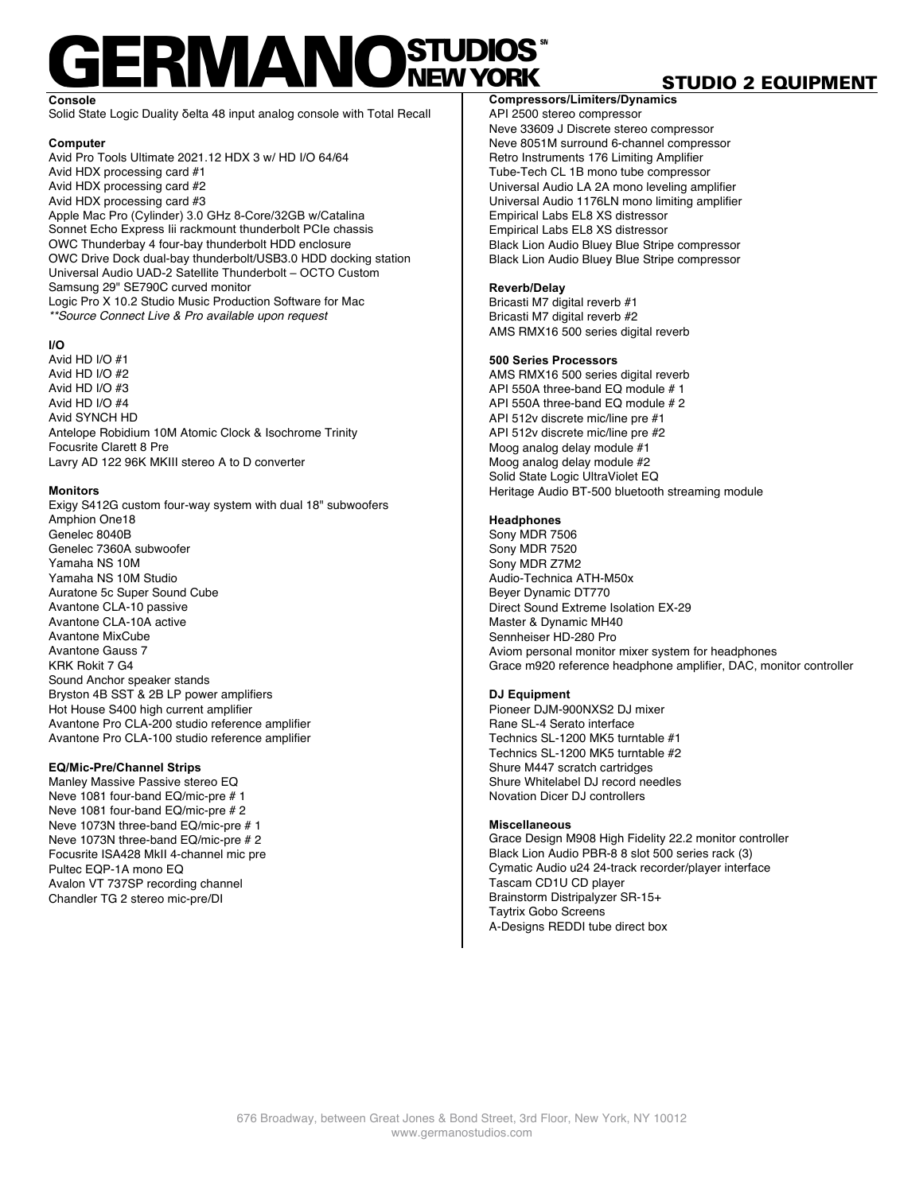## **ERMANOSTUDIOS**

**Console** Solid State Logic Duality δelta 48 input analog console with Total Recall

#### **Computer**

Avid Pro Tools Ultimate 2021.12 HDX 3 w/ HD I/O 64/64 Avid HDX processing card #1 Avid HDX processing card #2 Avid HDX processing card #3 Apple Mac Pro (Cylinder) 3.0 GHz 8-Core/32GB w/Catalina Sonnet Echo Express Iii rackmount thunderbolt PCIe chassis OWC Thunderbay 4 four-bay thunderbolt HDD enclosure OWC Drive Dock dual-bay thunderbolt/USB3.0 HDD docking station Universal Audio UAD-2 Satellite Thunderbolt – OCTO Custom Samsung 29" SE790C curved monitor Logic Pro X 10.2 Studio Music Production Software for Mac *\*\*Source Connect Live & Pro available upon request*

#### **I/O**

Avid HD I/O #1 Avid HD I/O #2 Avid HD I/O #3 Avid HD  $I/O$   $#4$ Avid SYNCH HD Antelope Robidium 10M Atomic Clock & Isochrome Trinity Focusrite Clarett 8 Pre Lavry AD 122 96K MKIII stereo A to D converter

#### **Monitors**

Exigy S412G custom four-way system with dual 18" subwoofers Amphion One18 Genelec 8040B Genelec 7360A subwoofer Yamaha NS 10M Yamaha NS 10M Studio Auratone 5c Super Sound Cube Avantone CLA-10 passive Avantone CLA-10A active Avantone MixCube Avantone Gauss 7 KRK Rokit 7 G4 Sound Anchor speaker stands Bryston 4B SST & 2B LP power amplifiers Hot House S400 high current amplifier Avantone Pro CLA-200 studio reference amplifier Avantone Pro CLA-100 studio reference amplifier

#### **EQ/Mic-Pre/Channel Strips**

Manley Massive Passive stereo EQ Neve 1081 four-band EQ/mic-pre # 1 Neve 1081 four-band EQ/mic-pre # 2 Neve 1073N three-band EQ/mic-pre # 1 Neve 1073N three-band EQ/mic-pre # 2 Focusrite ISA428 MkII 4-channel mic pre Pultec EQP-1A mono EQ Avalon VT 737SP recording channel Chandler TG 2 stereo mic-pre/DI

#### **Compressors/Limiters/Dynamics**

API 2500 stereo compressor Neve 33609 J Discrete stereo compressor Neve 8051M surround 6-channel compressor Retro Instruments 176 Limiting Amplifier Tube-Tech CL 1B mono tube compressor Universal Audio LA 2A mono leveling amplifier Universal Audio 1176LN mono limiting amplifier Empirical Labs EL8 XS distressor Empirical Labs EL8 XS distressor Black Lion Audio Bluey Blue Stripe compressor Black Lion Audio Bluey Blue Stripe compressor

#### **Reverb/Delay**

Bricasti M7 digital reverb #1 Bricasti M7 digital reverb #2 AMS RMX16 500 series digital reverb

#### **500 Series Processors**

AMS RMX16 500 series digital reverb API 550A three-band EQ module # 1 API 550A three-band EQ module # 2 API 512v discrete mic/line pre #1 API 512v discrete mic/line pre #2 Moog analog delay module #1 Moog analog delay module #2 Solid State Logic UltraViolet EQ Heritage Audio BT-500 bluetooth streaming module

#### **Headphones**

Sony MDR 7506 Sony MDR 7520 Sony MDR Z7M2 Audio-Technica ATH-M50x Beyer Dynamic DT770 Direct Sound Extreme Isolation EX-29 Master & Dynamic MH40 Sennheiser HD-280 Pro Aviom personal monitor mixer system for headphones Grace m920 reference headphone amplifier, DAC, monitor controller

#### **DJ Equipment**

Pioneer DJM-900NXS2 DJ mixer Rane SL-4 Serato interface Technics SL-1200 MK5 turntable #1 Technics SL-1200 MK5 turntable #2 Shure M447 scratch cartridges Shure Whitelabel DJ record needles Novation Dicer DJ controllers

#### **Miscellaneous**

Grace Design M908 High Fidelity 22.2 monitor controller Black Lion Audio PBR-8 8 slot 500 series rack (3) Cymatic Audio u24 24-track recorder/player interface Tascam CD1U CD player Brainstorm Distripalyzer SR-15+ Taytrix Gobo Screens A-Designs REDDI tube direct box

#### STUDIO 2 EQUIPMENT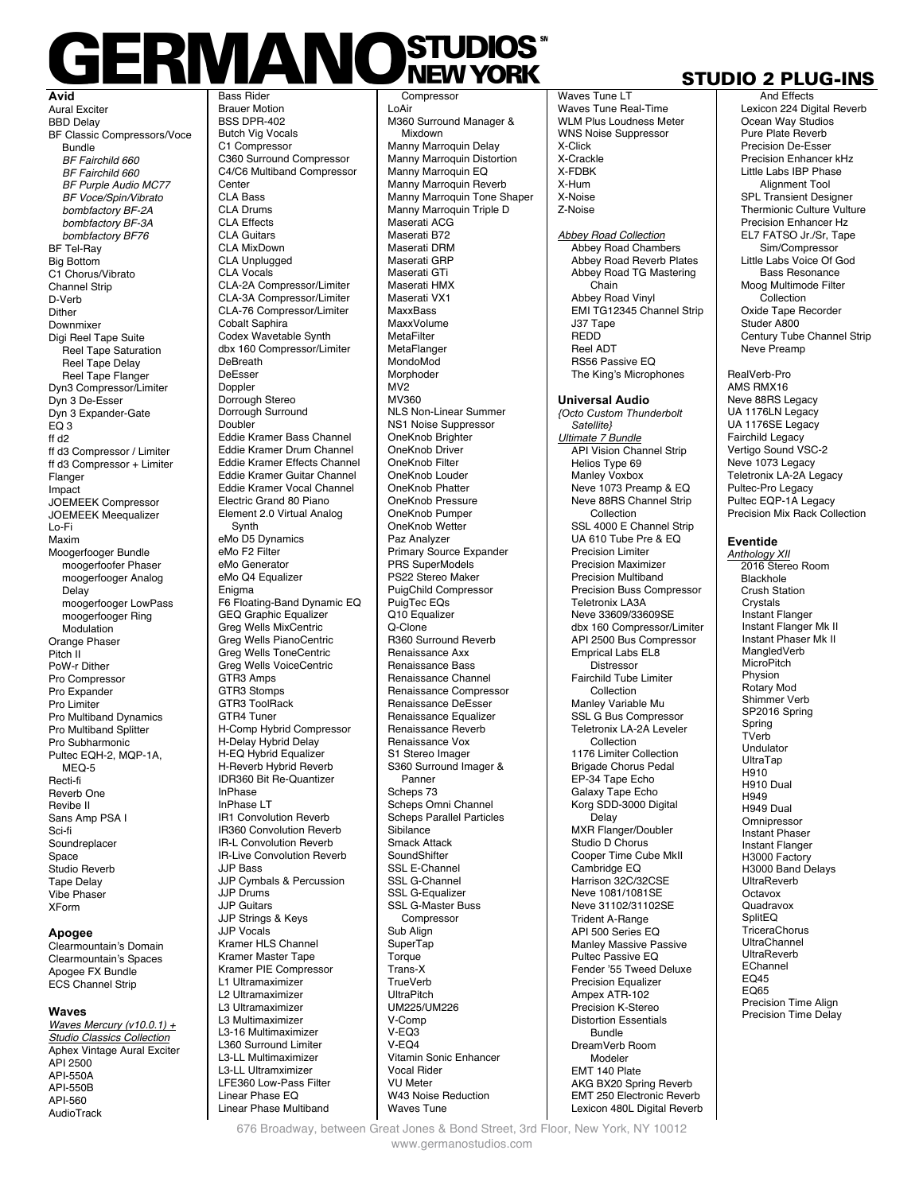### **ERMANOSTUDIOS Bass Ride**

**Avid** Aural Exciter BBD Delay BF Classic Compressors/Voce Bundle *BF Fairchild 660 BF Fairchild 660 BF Purple Audio MC77 BF Voce/Spin/Vibrato bombfactory BF-2A bombfactory BF-3A bombfactory BF76*  BF Tel-Ray Big Bottom C1 Chorus/Vibrato Channel Strip D-Verb **Dither** Downmixer Digi Reel Tape Suite Reel Tape Saturation Reel Tape Delay Reel Tape Flanger Dyn3 Compressor/Limiter Dyn 3 De-Esser Dyn 3 Expander-Gate EQ 3 ff d2 ff d3 Compressor / Limiter ff d3 Compressor + Limiter Flanger Impact JOEMEEK Compressor JOEMEEK Meequalizer Lo-Fi Maxim Moogerfooger Bundle moogerfoofer Phaser moogerfooger Analog Delay moogerfooger LowPass moogerfooger Ring **Modulation** Orange Phaser Pitch<sup>II</sup> PoW-r Dither Pro Compressor Pro Expander Pro Limiter Pro Multiband Dynamics Pro Multiband Splitter Pro Subharmonic Pultec EQH-2, MQP-1A, MEQ-5 Recti-fi Reverb One Revibe II Sans Amp PSA I Sci-fi **Soundreplacer** Space Studio Reverb Tape Delay Vibe Phaser XForm

#### **Apogee**

Clearmountain's Domain Clearmountain's Spaces Apogee FX Bundle ECS Channel Strip

#### **Waves**

*Waves Mercury (v10.0.1) + Studio Classics Collection* Aphex Vintage Aural Exciter API 2500 API-550A API-550B API-560 **AudioTrack** 

Brauer Motion BSS DPR-402 Butch Vig Vocals C1 Compressor C360 Surround Compressor C4/C6 Multiband Compressor **Center** CLA Bass CLA Drums CLA Effects CLA Guitars CLA MixDown CLA Unplugged CLA Vocals CLA-2A Compressor/Limiter CLA-3A Compressor/Limiter CLA-76 Compressor/Limiter Cobalt Saphira Codex Wavetable Synth dbx 160 Compressor/Limiter DeBreath DeEsser Doppler Dorrough Stereo Dorrough Surround Doubler Eddie Kramer Bass Channel Eddie Kramer Drum Channel Eddie Kramer Effects Channel Eddie Kramer Guitar Channel Eddie Kramer Vocal Channel Electric Grand 80 Piano Element 2.0 Virtual Analog Synth eMo D5 Dynamics eMo F2 Filter eMo Generator eMo Q4 Equalizer Enigma F6 Floating-Band Dynamic EQ GEQ Graphic Equalizer Greg Wells MixCentric Greg Wells PianoCentric Greg Wells ToneCentric Greg Wells VoiceCentric GTR3 Amps GTR3 Stomps GTR3 ToolRack GTR4 Tuner H-Comp Hybrid Compressor H-Delay Hybrid Delay H-EQ Hybrid Equalizer H-Reverb Hybrid Reverb IDR360 Bit Re-Quantizer InPhase InPhase LT IR1 Convolution Reverb IR360 Convolution Reverb IR-L Convolution Reverb IR-Live Convolution Reverb JJP Bass JJP Cymbals & Percussion JJP Drums JJP Guitars JJP Strings & Keys JJP Vocals Kramer HLS Channel Kramer Master Tape Kramer PIE Compressor L1 Ultramaximizer L2 Ultramaximizer L3 Ultramaximizer L3 Multimaximizer L3-16 Multimaximizer L360 Surround Limiter L3-LL Multimaximizer L3-LL Ultramximizer LFE360 Low-Pass Filter Linear Phase EQ

Linear Phase Multiband

**Compressor** LoAir M360 Surround Manager & Mixdown Manny Marroquin Delay Manny Marroquin Distortion Manny Marroquin EQ Manny Marroquin Reverb Manny Marroquin Tone Shaper Manny Marroquin Triple D Maserati ACG Maserati B72 Maserati DRM Maserati GRP Maserati GTi Maserati HMX Maserati VX1 MaxxBass MaxxVolume **MetaFilter** MetaFlanger MondoMod Morphoder MV2 MV360 NLS Non-Linear Summer NS1 Noise Suppressor OneKnob Brighter OneKnob Driver OneKnob Filter OneKnob Louder OneKnob Phatter OneKnob Pressure OneKnob Pumper OneKnob Wetter Paz Analyzer Primary Source Expander PRS SuperModels PS22 Stereo Maker PuigChild Compressor PuigTec EQs Q10 Equalizer Q-Clone R360 Surround Reverb Renaissance Axx Renaissance Bass Renaissance Channel Renaissance Compressor Renaissance DeEsser Renaissance Equalizer Renaissance Reverb Renaissance Vox S1 Stereo Imager S360 Surround Imager & Panner Scheps 73 Scheps Omni Channel Scheps Parallel Particles Sibilance Smack Attack **SoundShifter** SSL E-Channel SSL G-Channel SSL G-Equalizer SSL G-Master Buss Compressor Sub Align **SuperTap Torque** Trans-X **TrueVerb** UltraPitch UM225/UM226 V-Comp V-EQ3  $V-E<sub>OA</sub>$ Vitamin Sonic Enhancer Vocal Rider VU Meter W<sub>43</sub> Noise Reduction Waves Tune

#### STUDIO 2 PLUG-INS And Effects

Lexicon 224 Digital Reverb Ocean Way Studios Pure Plate Reverb Precision De-Esser Precision Enhancer kHz Little Labs IBP Phase

Waves Tune LT Waves Tune Real-Time WLM Plus Loudness Meter WNS Noise Suppressor X-Click X-Crackle X-FDBK X-Hum X-Noise Z-Noise *Abbey Road Collection*

Abbey Road Chambers Abbey Road Reverb Plates Abbey Road TG Mastering Chain Abbey Road Vinyl EMI TG12345 Channel Strip J37 Tape REDD Reel ADT RS56 Passive EQ The King's Microphones

**Universal Audio** *{Octo Custom Thunderbolt Satellite} Ultimate 7 Bundle* **API Vision Channel Strip** Helios Type 69 Manley Voxbox Neve 1073 Preamp & EQ Neve 88RS Channel Strip Collection SSL 4000 E Channel Strip UA 610 Tube Pre & EQ Precision Limiter Precision Maximizer Precision Multiband Precision Buss Compressor Teletronix LA3A Neve 33609/33609SE dbx 160 Compressor/Limiter API 2500 Bus Compressor Emprical Labs EL8 Distressor Fairchild Tube Limiter Collection Manley Variable Mu SSL G Bus Compressor Teletronix LA-2A Leveler Collection 1176 Limiter Collection Brigade Chorus Pedal EP-34 Tape Echo Galaxy Tape Echo Korg SDD-3000 Digital **Delay** MXR Flanger/Doubler Studio D Chorus Cooper Time Cube MkII Cambridge EQ Harrison 32C/32CSE Neve 1081/1081SE Neve 31102/31102SE Trident A-Range API 500 Series EQ Manley Massive Passive Pultec Passive EQ Fender '55 Tweed Deluxe Precision Equalizer Ampex ATR-102 Precision K-Stereo Distortion Essentials Bundle DreamVerb Room Modeler EMT 140 Plate AKG BX20 Spring Reverb EMT 250 Electronic Reverb

Lexicon 480L Digital Reverb

Alignment Tool SPL Transient Designer Thermionic Culture Vulture Precision Enhancer Hz EL7 FATSO Jr./Sr, Tape Sim/Compressor Little Labs Voice Of God Bass Resonance Moog Multimode Filter **Collection** Oxide Tape Recorder Studer A800 Century Tube Channel Strip Neve Preamp RealVerb-Pro AMS RMX16 Neve 88RS Legacy UA 1176LN Legacy UA 1176SE Legacy Fairchild Legacy Vertigo Sound VSC-2 Neve 1073 Legacy Teletronix LA-2A Legacy Pultec-Pro Legacy Pultec EQP-1A Legacy Precision Mix Rack Collection

#### **Eventide**

*Anthology XII* 2016 Stereo Room Blackhole Crush Station Crystals Instant Flanger Instant Flanger Mk II Instant Phaser Mk II MangledVerb **MicroPitch**  Physion Rotary Mod Shimmer Verb SP2016 Spring Spring TVerb Undulator UltraTap H910 H910 Dual H949 H949 Dual **Omnipressor**  Instant Phaser Instant Flanger H3000 Factory H3000 Band Delays **UltraReverb**  Octavox **Quadravox**  SplitEQ **TriceraChorus**  UltraChannel UltraReverb EChannel EQ45 EQ65 Precision Time Align Precision Time Delay

676 Broadway, between Great Jones & Bond Street, 3rd Floor, New York, NY 10012 www.germanostudios.com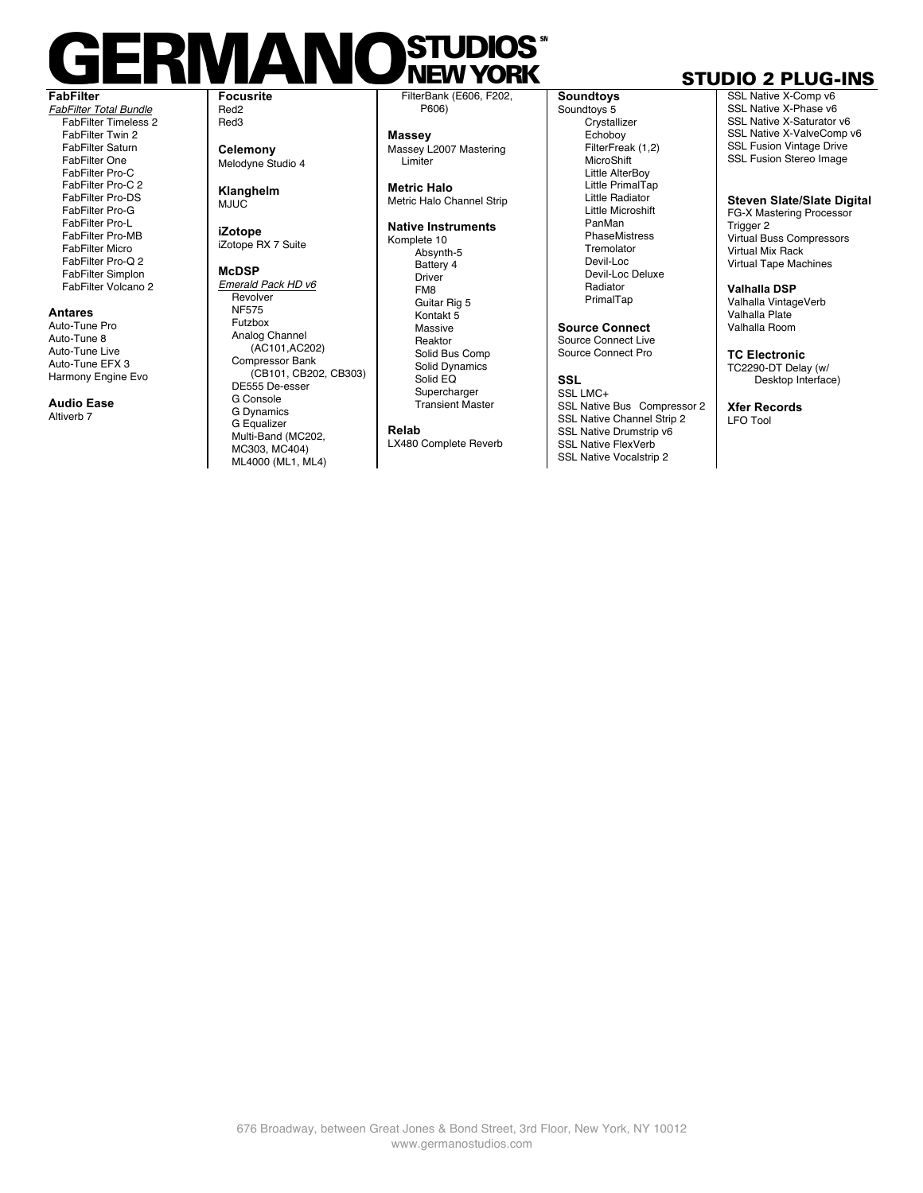#### **STUDIO**  $\Box$ KIVIA NI) **NEW YORK FabFilter Focusrite**

*FabFilter Total Bundle* FabFilter Timeless 2 FabFilter Twin 2 FabFilter Saturn FabFilter One FabFilter Pro-C FabFilter Pro-C 2 FabFilter Pro-DS FabFilter Pro-G FabFilter Pro-L FabFilter Pro-MB FabFilter Micro FabFilter Pro-Q 2 FabFilter Simplon FabFilter Volcano 2

#### **Antares**

Auto-Tune Pro Auto-Tune 8 Auto-Tune Live Auto-Tune EFX 3 Harmony Engine Evo

**Audio Ease** Altiverh<sub>7</sub>

Red2 Red3

**Celemony**  Melodyne Studio 4

**Klanghelm** MJUC<sup>T</sup>

**iZotope** iZotope RX 7 Suite

**McDSP** *Emerald Pack HD v6* Revolver NF575 Futzbox

Analog Channel (AC101,AC202) Compressor Bank (CB101, CB202, CB303) DE555 De-esser G Console G Dynamics G Equalizer Multi-Band (MC202, MC303, MC404) ML4000 (ML1, ML4)

FilterBank (E606, F202, P606)

**Massey** Massey L2007 Mastering Limiter

**Metric Halo** Metric Halo Channel Strip

#### **Native Instruments**

Komplete 10 Absynth-5 Battery 4 Driver FM8 Guitar Rig 5 Kontakt 5 Massive Reaktor Solid Bus Comp Solid Dynamics Solid EQ **Supercharger** Transient Master

**Relab**

LX480 Complete Reverb

**Soundtoys** Soundtoys 5 Crystallizer Echoboy FilterFreak (1,2) **MicroShift** Little AlterBoy Little PrimalTap Little Radiator Little Microshift PanMan **PhaseMistress** Tremolator Devil-Loc Devil-Loc Deluxe Radiator PrimalTap

**Source Connect** Source Connect Live Source Connect Pro

**SSL**

SSL LMC+ SSL Native Bus Compressor 2 SSL Native Channel Strip 2 SSL Native Drumstrip v6 SSL Native FlexVerb SSL Native Vocalstrip 2

### STUDIO 2 PLUG-INS

SSL Native X-Comp v6 SSL Native X-Phase v6 SSL Native X-Saturator v6 SSL Native X-ValveComp v6 SSL Fusion Vintage Drive SSL Fusion Stereo Image

**Steven Slate/Slate Digital**

FG-X Mastering Processor Trigger 2 Virtual Buss Compressors Virtual Mix Rack Virtual Tape Machines

**Valhalla DSP**

Valhalla VintageVerb Valhalla Plate Valhalla Room

**TC Electronic** TC2290-DT Delay (w/ Desktop Interface)

**Xfer Records** LFO Tool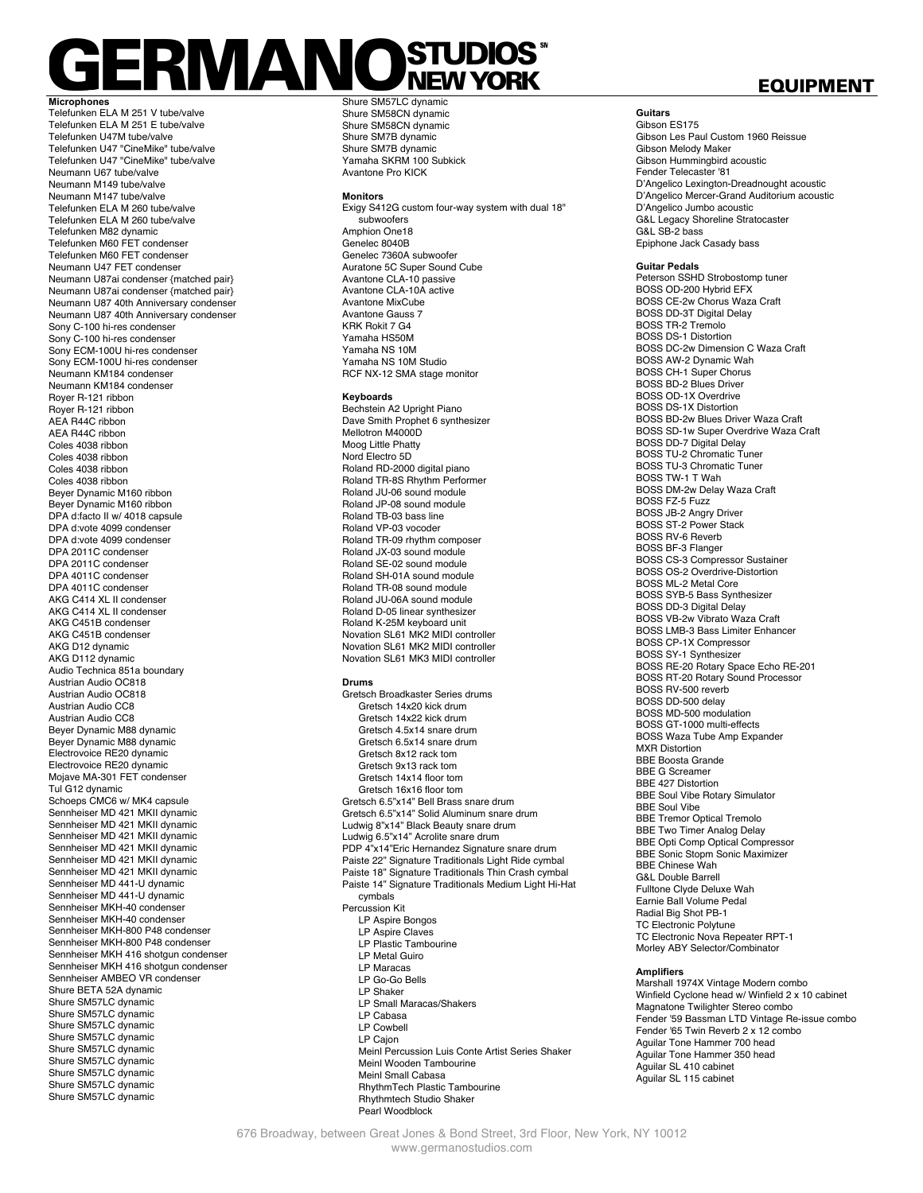# **ERMANOSTUDIOS**

**Microphones** Telefunken ELA M 251 V tube/valve Telefunken ELA M 251 E tube/valve Telefunken U47M tube/valve Telefunken U47 "CineMike" tube/valve Telefunken U47 "CineMike" tube/valve Neumann U67 tube/valve Neumann M149 tube/valve Neumann M147 tube/valve Telefunken ELA M 260 tube/valve Telefunken ELA M 260 tube/valve Telefunken M82 dynamic Telefunken M60 FET condenser Telefunken M60 FET condenser Neumann U47 FET condenser Neumann U87ai condenser {matched pair} Neumann U87ai condenser {matched pair} Neumann U87 40th Anniversary condenser Neumann U87 40th Anniversary condenser Sony C-100 hi-res condenser Sony C-100 hi-res condenser Sony ECM-100U hi-res condenser Sony ECM-100U hi-res condenser Neumann KM184 condenser Neumann KM184 condenser Royer R-121 ribbon Royer R-121 ribbon AEA R44C ribbon AEA R44C ribbon Coles 4038 ribbon Coles 4038 ribbon Coles 4038 ribbon Coles 4038 ribbon Beyer Dynamic M160 ribbon Beyer Dynamic M160 ribbon DPA d:facto II w/ 4018 capsule DPA d:vote 4099 condenser DPA d:vote 4099 condenser DPA 2011C condenser DPA 2011C condenser DPA 4011C condenser DPA 4011C condenser AKG C414 XL II condenser AKG C414 XL II condenser AKG C451B condenser AKG C451B condenser AKG D12 dynamic AKG D112 dynamic Audio Technica 851a boundary Austrian Audio OC818 Austrian Audio OC818 Austrian Audio CC8 Austrian Audio CC8 Beyer Dynamic M88 dynamic Beyer Dynamic M88 dynamic Electrovoice RE20 dynamic Electrovoice RE20 dynamic Mojave MA-301 FET condenser Tul G12 dynamic Schoeps CMC6 w/ MK4 capsule Sennheiser MD 421 MKII dynamic Sennheiser MD 421 MKII dynamic Sennheiser MD 421 MKII dynamic Sennheiser MD 421 MKII dynamic Sennheiser MD 421 MKII dynamic Sennheiser MD 421 MKII dynamic Sennheiser MD 441-U dynamic Sennheiser MD 441-U dynamic Sennheiser MKH-40 condenser Sennheiser MKH-40 condenser Sennheiser MKH-800 P48 condenser Sennheiser MKH-800 P48 condenser Sennheiser MKH 416 shotgun condenser Sennheiser MKH 416 shotgun condenser Sennheiser AMBEO VR condenser Shure BETA 52A dynamic Shure SM57LC dynamic Shure SM57LC dynamic Shure SM57LC dynamic Shure SM57LC dynamic Shure SM57LC dynamic Shure SM57LC dynamic Shure SM57LC dynamic Shure SM57LC dynamic Shure SM57LC dynamic

Shure SM57LC dynamic Shure SM58CN dynamic Shure SM58CN dynamic Shure SM7B dynamic Shure SM7B dynamic Yamaha SKRM 100 Subkick Avantone Pro KICK

#### **Monitors**

Exigy S412G custom four-way system with dual 18" subwoofers Amphion One18 Genelec 8040B Genelec 7360A subwoofer Auratone 5C Super Sound Cube Avantone CLA-10 passive Avantone CLA-10A active Avantone MixCube Avantone Gauss 7 KRK Rokit 7 G4 Yamaha HS50M Yamaha NS 10M Yamaha NS 10M Studio RCF NX-12 SMA stage monitor

#### **Keyboards**

Bechstein A2 Upright Piano Dave Smith Prophet 6 synthesizer Mellotron M4000D Moog Little Phatty Nord Electro 5D Roland RD-2000 digital piano Roland TR-8S Rhythm Performer Roland JU-06 sound module Roland JP-08 sound module Roland TB-03 bass line Roland VP-03 vocoder Roland TR-09 rhythm composer Roland JX-03 sound module Roland SE-02 sound module Roland SH-01A sound module Roland TR-08 sound module Roland JU-06A sound module Roland D-05 linear synthesizer Roland K-25M keyboard unit Novation SL61 MK2 MIDI controller Novation SL61 MK2 MIDI controller Novation SL61 MK3 MIDI controller

#### **Drums**

Gretsch Broadkaster Series drums Gretsch 14x20 kick drum Gretsch 14x22 kick drum Gretsch 4.5x14 snare drum Gretsch 6.5x14 snare drum Gretsch 8x12 rack tom Gretsch 9x13 rack tom Gretsch 14x14 floor tom Gretsch 16x16 floor tom Gretsch 6.5"x14" Bell Brass snare drum Gretsch 6.5"x14" Solid Aluminum snare drum Ludwig 8"x14" Black Beauty snare drum Ludwig 6.5"x14" Acrolite snare drum PDP 4"x14"Eric Hernandez Signature snare drum Paiste 22" Signature Traditionals Light Ride cymbal Paiste 18" Signature Traditionals Thin Crash cymbal Paiste 14" Signature Traditionals Medium Light Hi-Hat cymbals Percussion Kit LP Aspire Bongos LP Aspire Claves LP Plastic Tambourine LP Metal Guiro LP Maracas LP Go-Go Bells LP Shaker LP Small Maracas/Shakers LP Cabasa LP Cowbell LP Cajon Meinl Percussion Luis Conte Artist Series Shaker Meinl Wooden Tambourine Meinl Small Cabasa RhythmTech Plastic Tambourine Rhythmtech Studio Shaker Pearl Woodblock

#### EQUIPMENT

**Guitars** Gibson ES175 Gibson Les Paul Custom 1960 Reissue Gibson Melody Maker Gibson Hummingbird acoustic Fender Telecaster '81 D'Angelico Lexington-Dreadnought acoustic D'Angelico Mercer-Grand Auditorium acoustic D'Angelico Jumbo acoustic G&L Legacy Shoreline Stratocaster G&L SB-2 bass Epiphone Jack Casady bass

#### **Guitar Pedals**

Peterson SSHD Strobostomp tuner BOSS OD-200 Hybrid EFX BOSS CE-2w Chorus Waza Craft BOSS DD-3T Digital Delay BOSS TR-2 Tremolo BOSS DS-1 Distortion BOSS DC-2w Dimension C Waza Craft BOSS AW-2 Dynamic Wah BOSS CH-1 Super Chorus BOSS BD-2 Blues Driver BOSS OD-1X Overdrive BOSS DS-1X Distortion BOSS BD-2w Blues Driver Waza Craft BOSS SD-1w Super Overdrive Waza Craft BOSS DD-7 Digital Delay BOSS TU-2 Chromatic Tuner BOSS TU-3 Chromatic Tuner BOSS TW-1 T Wah BOSS DM-2w Delay Waza Craft BOSS FZ-5 Fuzz BOSS JB-2 Angry Driver BOSS ST-2 Power Stack BOSS RV-6 Reverb BOSS BF-3 Flanger BOSS CS-3 Compressor Sustainer BOSS OS-2 Overdrive-Distortion BOSS ML-2 Metal Core BOSS SYB-5 Bass Synthesizer BOSS DD-3 Digital Delay BOSS VB-2w Vibrato Waza Craft BOSS LMB-3 Bass Limiter Enhancer BOSS CP-1X Compressor BOSS SY-1 Synthesizer BOSS RE-20 Rotary Space Echo RE-201 BOSS RT-20 Rotary Sound Processor BOSS RV-500 reverb BOSS DD-500 delay BOSS MD-500 modulation BOSS GT-1000 multi-effects BOSS Waza Tube Amp Expander MXR Distortion BBE Boosta Grande BBE G Screamer BBE 427 Distortion BBE Soul Vibe Rotary Simulator BBE Soul Vibe BBE Tremor Optical Tremolo BBE Two Timer Analog Delay BBE Opti Comp Optical Compressor BBE Sonic Stopm Sonic Maximizer BBE Chinese Wah G&L Double Barrell Fulltone Clyde Deluxe Wah Earnie Ball Volume Pedal Radial Big Shot PB-1 TC Electronic Polytune TC Electronic Nova Repeater RPT-1 Morley ABY Selector/Combinator

#### **Amplifiers**

Marshall 1974X Vintage Modern combo Winfield Cyclone head w/ Winfield 2 x 10 cabinet Magnatone Twilighter Stereo combo Fender '59 Bassman LTD Vintage Re-issue combo Fender '65 Twin Reverb 2 x 12 combo Aguilar Tone Hammer 700 head Aguilar Tone Hammer 350 head Aguilar SL 410 cabinet Aguilar SL 115 cabinet